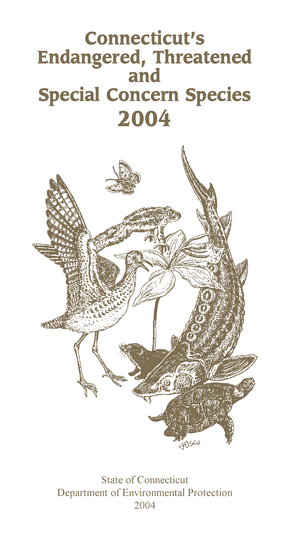# **Connecticut's Endangered, Threatened and Special Concern Species 2004**



State of Connecticut Department of Environmental Protection 2004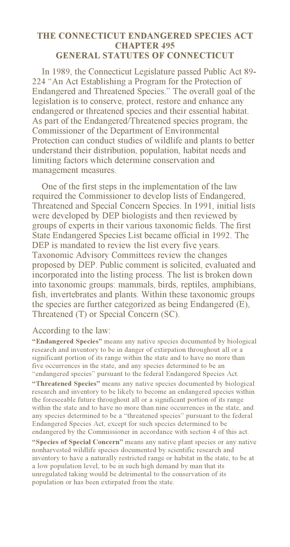### THE CONNECTICUT ENDANGERED SPECIES ACT **CHAPTER 495 GENERAL STATUTES OF CONNECTICUT**

In 1989, the Connecticut Legislature passed Public Act 89-224 "An Act Establishing a Program for the Protection of Endangered and Threatened Species." The overall goal of the legislation is to conserve, protect, restore and enhance any endangered or threatened species and their essential habitat. As part of the Endangered/Threatened species program, the Commissioner of the Department of Environmental Protection can conduct studies of wildlife and plants to better understand their distribution, population, habitat needs and limiting factors which determine conservation and management measures.

One of the first steps in the implementation of the law required the Commissioner to develop lists of Endangered. Threatened and Special Concern Species. In 1991, initial lists were developed by DEP biologists and then reviewed by groups of experts in their various taxonomic fields. The first State Endangered Species List became official in 1992. The DEP is mandated to review the list every five years. Taxonomic Advisory Committees review the changes proposed by DEP. Public comment is solicited, evaluated and incorporated into the listing process. The list is broken down into taxonomic groups: mammals, birds, reptiles, amphibians, fish, invertebrates and plants. Within these taxonomic groups the species are further categorized as being Endangered (E). Threatened (T) or Special Concern (SC).

### According to the law:

"Endangered Species" means any native species documented by biological research and inventory to be in danger of extirpation throughout all or a significant portion of its range within the state and to have no more than five occurrences in the state, and any species determined to be an "endangered species" pursuant to the federal Endangered Species Act.

"Threatened Species" means any native species documented by biological research and inventory to be likely to become an endangered species within the foreseeable future throughout all or a significant portion of its range within the state and to have no more than nine occurrences in the state, and any species determined to be a "threatened species" pursuant to the federal Endangered Species Act, except for such species determined to be endangered by the Commissioner in accordance with section 4 of this act.

"Species of Special Concern" means any native plant species or any native nonharvested wildlife species documented by scientific research and inventory to have a naturally restricted range or habitat in the state, to be at a low population level, to be in such high demand by man that its unregulated taking would be detrimental to the conservation of its population or has been extirpated from the state.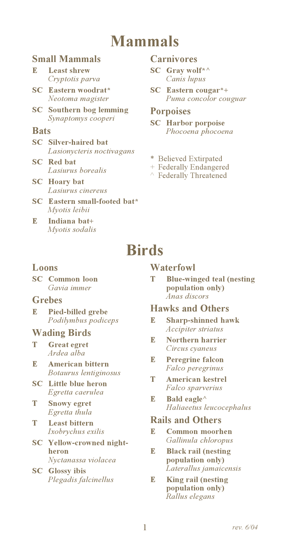## **Mammals**

### **Small Mammals**

#### R. **Least shrew** Cryptotis parva

- **SC** Eastern woodrat\* Neotoma magister
- **SC** Southern bog lemming Synaptomys cooperi

### **Bats**

- **SC** Silver-haired bat Lasionycteris noctivagans
- **SC** Red bat Lasiurus borealis
- **SC** Hoary bat Lasiurus cinereus
- **SC** Eastern small-footed bat\* Mvotis leibii
- R, Indiana bat+ Myotis sodalis

### Carnivores

- $SC$  Gray wolf\* Canis lupus
- **SC** Eastern cougar\*+ Puma concolor couguar

### **Porpoises**

- **SC** Harbor porpoise Phocoena phocoena
- \* Believed Extirpated
- + Federally Endangered
- $\land$  Federally Threatened

## **Birds**

### Loons

**SC** Common loon Gavia immer

### **Grebes**

Pied-billed grebe E. Podilymbus podiceps

### **Wading Birds**

- **Great egret** т Ardea alba
- American bittern R. Botaurus lentiginosus
- **SC** Little blue heron Egretta caerulea
- T **Snowy egret** Egretta thula
- T **Least bittern** Ixobrychus exilis
- **SC** Yellow-crowned nightheron Nyctanassa violacea
- **SC** Glossy ibis Plegadis falcinellus

### **Waterfowl**

T **Blue-winged teal (nesting** population only) Anas discors

### **Hawks and Others**

- **Sharp-shinned hawk** R. Accipiter striatus
- **Northern harrier** R. Circus cyaneus
- R. **Peregrine falcon** Falco peregrinus
- T **American kestrel** Falco sparverius
- Bald eagle<sup> $\wedge$ </sup> E Haliaeetus leucocephalus

### **Rails and Others**

- R. **Common moorhen** Gallinula chloropus
- $\mathbb{R}$ **Black rail (nesting** population only) Laterallus jamaicensis
- **King rail (nesting** E. population only) Rallus elegans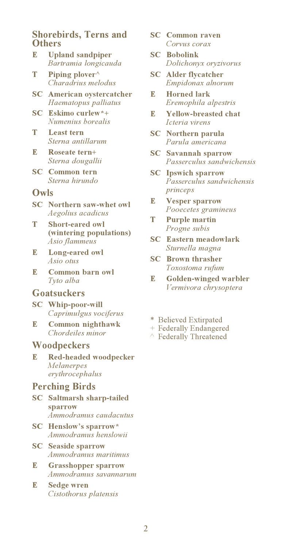### **Shorebirds, Terns and Others**

- R. **Upland sandpiper** Bartramia longicauda
- T Piping plover<sup>^</sup> Charadrius melodus
- **SC** American ovstercatcher Haematopus palliatus
- SC Eskimo curlew\*+ Numenius horealis
- T **Least tern** Sterna antillarum
- $\mathbb{R}$ Roseate tern+ Sterna dougallii
- **SC** Common tern Sterna hirundo

#### Owls

- **SC** Northern saw-whet owl Aegolius acadicus
- T **Short-eared owl** (wintering populations) Asio flammeus
- $\mathbb{R}$ Long-eared owl Asio otus
- R. Common barn owl Tyto alba

### **Goatsuckers**

- **SC** Whip-poor-will Caprimulgus vociferus
- R. Common nighthawk Chordeiles minor

#### Woodpeckers

**Red-headed woodpecker** R. Melanerpes erythrocephalus

### **Perching Birds**

- **SC** Saltmarsh sharp-tailed sparrow Ammodramus caudacutus
- **SC** Henslow's sparrow\* Ammodramus henslowii
- **SC** Seaside sparrow Ammodramus maritimus
- R. **Grasshopper sparrow** Ammodramus savannarum
- R. **Sedge wren** Cistothorus platensis
- **SC** Common raven Corvus corax
- **SC** Bobolink Dolichonyx oryzivorus
- **SC** Alder flycatcher Empidonax alnorum
- R. **Horned lark** Eremophila alpestris
- R. **Yellow-breasted chat** Icteria virens
- **SC** Northern parula Parula americana
- **SC** Savannah sparrow Passerculus sandwichensis
- **SC** Ipswich sparrow Passerculus sandwichensis princeps
- **Vesper sparrow** E Pooecetes gramineus
- T **Purple martin** Progne subis
- **SC** Eastern meadowlark Sturnella magna
- **SC** Brown thrasher Toxostoma rufum
- **Golden-winged warbler** R. Vermivora chrysoptera
- \* Believed Extirpated
- + Federally Endangered
- $\land$  Federally Threatened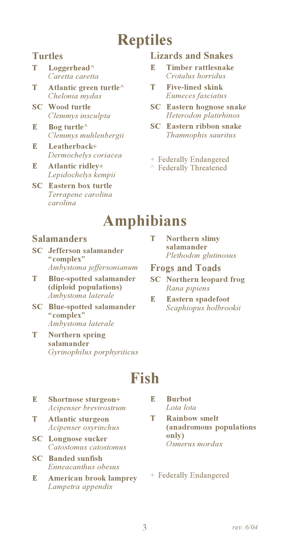# **Reptiles**

### **Turtles**

- T Loggerhead<sup>^</sup> Caretta caretta
- T Atlantic green turtle<sup>^</sup> Chelonia mydas
- **SC** Wood turtle Clemmys insculpta
- Bog turtle<sup> $\wedge$ </sup> R. Clemmys muhlenbergii
- Leatherhack+  $\mathbb{R}$ Dermochelys coriacea
- **Atlantic ridlev+** R. Lepidochelys kempii
- $SC$ **Eastern box turtle** Terrapene carolina carolina

### **Lizards and Snakes**

- Ţ. **Timber rattlesnake** Crotalus horridus
- T **Five-lined skink** Eumeces fasciatus
- **SC** Eastern hognose snake Heterodon platirhinos
- **SC** Eastern ribbon snake Thamnophis sauritus
- + Federally Endangered
- ↑ Federally Threatened

## **Amphibians**

### **Salamanders**

- $SC$ Jefferson salamander "complex" Ambystoma jeffersonianum
- **Blue-spotted salamander** т (diploid populations) Ambystoma laterale
- $SC$ **Blue-spotted salamander** "complex" Ambystoma laterale
- T Northern spring salamander Gyrinophilus porphyriticus

## **Fish**

- E Shortnose sturgeon+ Acipenser brevirostrum
- T **Atlantic sturgeon** Acipenser oxyrinchus
- **SC** Longnose sucker Catostomus catostomus
- **SC** Banded sunfish Enneacanthus obesus
- **American brook lamprey** R. Lampetra appendix
- **Northern slimy** Т salamander Plethodon glutinosus
- **Frogs and Toads**
- **SC** Northern leopard frog Rana pipiens
- R. **Eastern spadefoot** Scaphiopus holbrookii

- **Burbot** R. Lota lota
- T. **Rainbow smelt** (anadromous populations only) Osmerus mordax
- + Federally Endangered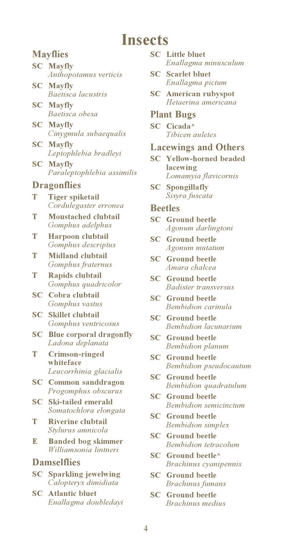### **Insects**

### **Mayflies**

- **SC** Mayfly Anthopotamus verticis
- SC | **Mayfly** Baetisca lacustris
- $SC$ **Mayfly** Baetisca obesa
- **SC** Mayfly Cinygmula subaequalis
- SC | **Mayfly** Leptophlebia bradlevi
- **SC** Mayfly Paraleptophlebia assimilis

### **Dragonflies**

- Т **Tiger spiketail** Cordulegaster erronea
- T **Moustached clubtail** Gomphus adelphus
- T Harpoon clubtail Gomphus descriptus
- Т **Midland clubtail** Gomphus fraternus
- Rapids clubtail т Gomphus quadricolor
- **SC** Cobra clubtail Gomphus vastus
- $SC$ **Skillet** clubtail Gomphus ventricosus
- **Blue corporal dragonfly**  $SC$ Ladona deplanata
- T **Crimson-ringed** whiteface Leucorrhinia glacialis
- **SC** Common sanddragon Progomphus obscurus
- $SC$ Ski-tailed emerald Somatochlora elongata
- T **Riverine clubtail** Stylurus amnicola
- R. **Banded bog skimmer** Williamsonia lintneri

### **Damselflies**

- **SC** Sparkling jewelwing Calopteryx dimidiata
- **SC** Atlantic bluet Enallagma doubledayi
- **SC** Little bluet Enallagma minusculum
- **SC** Scarlet bluet Enallagma pictum
- **American rubyspot** SC Hetaerina americana

### **Plant Bugs**

SC Cicada\* Tibicen auletes

### **Lacewings and Others**

- **SC** Yellow-horned beaded lacewing Lomamyia flavicornis
- **SC** Spongillafly Sisyra fuscata

### **Beetles**

- **SC** Ground beetle Agonum darlingtoni
- **SC** Ground beetle Agonum mutatum
- **SC** Ground beetle Amara chalcea
- **SC** Ground beetle Badister transversus
- **SC** Ground beetle Bembidion carinula
- **SC** Ground beetle **Bembidion** *lacunarium*
- **SC** Ground beetle **Bembidion** planum
- **SC** Ground beetle Bembidion pseudocautum
- **SC** Ground beetle Bembidion quadratulum
- **SC** Ground beetle **Rembidion** semicinctum
- **SC** Ground beetle **Bembidion** simplex
- **SC** Ground beetle **Bembidion** tetracolum
- **SC** Ground beetle\* Brachinus cyanipennis
- **SC** Ground beetle **Brachinus** fumans
- **SC** Ground beetle Brachinus medius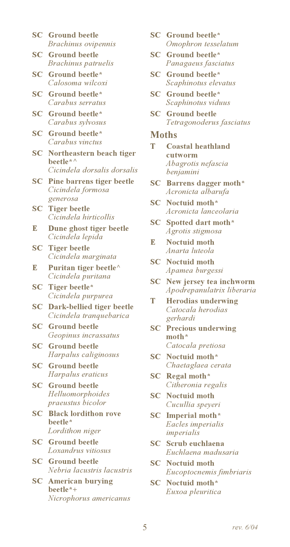- **SC** Ground beetle Brachinus ovipennis
- **SC** Ground beetle Brachinus patruelis
- **SC** Ground beetle\* Calosoma wilcoxi
- **SC** Ground beetle\* Carabus serratus
- **SC** Ground beetle\* Carabus sylvosus
- **SC** Ground beetle\* Carabus vinctus
- **SC** Northeastern beach tiger heetle\* $\wedge$ Cicindela dorsalis dorsalis
- **SC** Pine barrens tiger beetle Cicindela formosa generosa
- **SC** Tiger beetle Cicindela hirticollis
- Dune ghost tiger beetle  $\mathbb{R}$ Cicindela lepida
- **SC** Tiger beetle Cicindela marginata
- Puritan tiger beetle<sup>^</sup> E. Cicindela puritana
- **SC** Tiger beetle\* Cicindela purpurea
- $SC$ Dark-bellied tiger beetle Cicindela tranquebarica
- **SC** Ground beetle Geopinus incrassatus
- **SC** Ground beetle Harpalus caliginosus
- **SC** Ground beetle Harpalus eraticus
- **SC** Ground beetle Helluomorphoides *praeustus bicolor*
- **SC** Black lordithon rove beetle\* Lordithon niger
- **SC** Ground beetle Loxandrus vitiosus
- **SC** Ground beetle Nebria lacustris lacustris
- **SC** American burying beetle\*+ Nicrophorus americanus
- **SC** Ground beetle\* Omophron tesselatum
- SC Ground beetle\* Panagaeus fasciatus
- **SC** Ground beetle\* Scaphinotus elevatus
- **SC** Ground beetle\* Scaphinotus viduus
- **SC** Ground beetle Tetragonoderus fasciatus

#### **Moths**

- T Coastal heathland cutworm Abagrotis nefascia benjamini
- **SC** Barrens dagger moth\* Acronicta albarufa
- **SC** Noctuid moth\* Acronicta lanceolaria
- SC Spotted dart moth\* Agrotis stigmosa
- Noctuid moth E. Anarta luteola
- **SC** Noctuid moth Apamea burgessi
- SC New jersey tea inchworm Apodrepanulatrix liberaria
- T **Herodias underwing** Catocala herodias gerhardi
- $SC$ **Precious underwing**  $\text{math}^*$ Catocala pretiosa
- **SC** Noctuid moth\* Chaetaglaea cerata
- SC Regal moth\* Citheronia regalis
- **SC** Noctuid moth Cucullia speyeri
- SC Imperial moth\* Eacles imperialis imperialis
- **SC** Scrub euchlaena Euchlaena madusaria
- **SC** Noctuid moth Eucoptocnemis fimbriaris
- **SC** Noctuid moth\* Euxoa pleuritica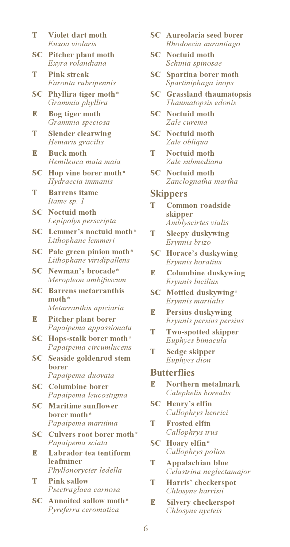- T Violet dart moth Euxoa violaris
- $SC$ **Pitcher plant moth** Exvra rolandiana
- T **Pink streak** Faronta rubripennis
- SC Phyllira tiger moth\* Grammia phyllira
- **Bog tiger moth** E Grammia speciosa
- T **Slender clearwing** Hemaris gracilis
- R. **Buck moth** Hemileuca maia maia
- $SC$ Hop vine borer moth\* Hydraecia immanis
- T **Barrens** itame Itame sp. 1
- **SC** Noctuid moth Lepipolys perscripta
- Lemmer's noctuid moth\*  $SC$ Lithophane lemmeri
- SC Pale green pinion moth\* Lithophane viridipallens
- **SC** Newman's brocade\* Meropleon ambifuscum
- **SC** Barrens metarranthis  $\text{month}^*$ Metarranthis apiciaria
- E **Pitcher plant borer** Papaipema appassionata
- **SC** Hops-stalk borer moth\* Papaipema circumlucens
- **SC** Seaside goldenrod stem **borer** Papaipema duovata
- **SC** Columbine borer Papaipema leucostigma
- **SC** Maritime sunflower borer moth\* Papaipema maritima
- SC Culvers root borer moth\* Papaipema sciata
- E Labrador tea tentiform leafminer Phyllonorycter ledella
- т **Pink sallow** Psectraglaea carnosa
- **SC** Annoited sallow moth\* Pyreferra ceromatica
- **SC** Aureolaria seed borer Rhodoecia aurantiago
- **SC** Noctuid moth Schinia spinosae
- **SC** Spartina borer moth Spartiniphaga inops
- **SC** Grassland thaumatopsis Thaumatopsis edonis
- **SC** Noctuid moth Zale curema
- **SC** Noctuid moth Zale obliqua
- T Noctuid moth Zale submediana
- **SC** Noctuid moth Zanclognatha martha

### **Skippers**

- T Common roadside skipper Amblyscirtes vialis
- T **Sleepy duskywing** Erynnis brizo
- **SC** Horace's duskywing Ervnnis horatius
- R. **Columbine duskywing** Erynnis lucilius
- $SC$ Mottled duskywing\* Erynnis martialis
- R. **Persius duskywing** Erynnis persius persius
- T **Two-spotted skipper** Euphyes bimacula
- T Sedge skipper Euphyes dion

### **Butterflies**

- Northern metalmark  $\mathbb{R}$ Calephelis borealis
- $SC$ Henry's elfin Callophrys henrici
- **Frosted elfin** T Callophrys irus
- $SC$ Hoary elfin\* Callophrys polios
- <sup>T</sup> Appalachian blue Celastrina neglectamajor
- T Harris' checkerspot Chlosyne harrisii
- E **Silvery checkerspot** Chlosyne nycteis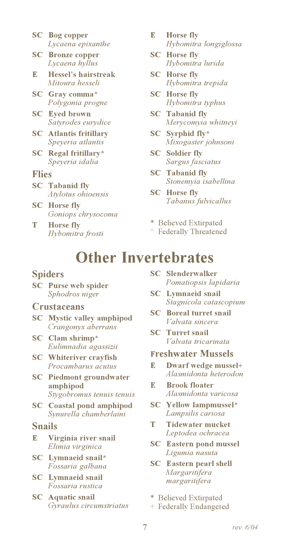- **SC** Bog copper Lycaena epixanthe
- **SC** Bronze copper Lycaena hyllus
- R. Hessel's hairstreak Mitoura hesseli
- **SC** Gray comma\* Polygonia progne
- $SC$ **Eyed brown** Satyrodes eurydice
- **SC** Atlantis fritillary Speyeria atlantis
- $SC$ Regal fritillary\* Speyeria idalia

### **Flies**

- **SC** Tabanid fly Atylotus ohioensis
- **SC** Horse fly Goniops chrysocoma
- T **Horse fly** Hybomitra frosti
- $\mathbb{R}$ **Horse fly** Hybomitra longiglossa
- **SC** Horse fly Hybomitra lurida
- **SC** Horse fly Hybomitra trepida
- **SC** Horse fly Hybomitra typhus
- **SC** Tabanid fly Merycomyia whitneyi
- SC Syrphid fly\* Mixogaster johnsoni
- **SC** Soldier fly Sargus fasciatus
- **SC** Tabanid fly Stonemyia isabellina
- **SC** Horse fly Tabanus fulvicallus
- \* Believed Extirpated
- $\land$  Federally Threatened

### **Other Invertebrates**

### **Spiders**

**SC** Purse web spider Sphodros niger

### **Crustaceans**

- **SC** Mystic valley amphipod Crangonyx aberrans
- SC Clam shrimp\* Eulimnadia agassizii
- **SC** Whiteriver cravfish Procambarus acutus
- **SC** Piedmont groundwater amphipod Stygobromus tenuis tenuis
- **Coastal pond amphipod**  $SC$ Synurella chamberlaini

#### **Snails**

- $\mathbb{R}$ Virginia river snail Elimia virginica
- SC Lymnaeid snail\* Fossaria galbana
- **SC** Lymnaeid snail Fossaria rustica
- **SC** Aquatic snail Gyraulus circumstriatus
- **SC** Slenderwalker Pomatiopsis lapidaria
- **SC** Lymnaeid snail Stagnicola catascopium
- **SC** Boreal turret snail Valvata sincera
- **SC** Turret snail Valvata tricarinata

#### **Freshwater Mussels**

- Dwarf wedge mussel+ E. Alasmidonta heterodon
- $\mathbb{R}$ **Brook floater** Alasmidonta varicosa
- **SC** Yellow lampmussel\* Lampsilis cariosa
- T **Tidewater mucket** Leptodea ochracea
- **SC** Eastern pond mussel Ligumia nasuta
- **SC** Eastern pearl shell Margaritifera margaritifera
- \* Believed Extirpated
- + Federally Endangered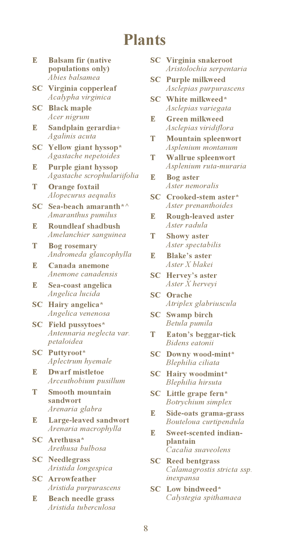### **Plants**

- R. **Balsam fir (native** populations only) Abies balsamea
- **SC** Virginia copperleaf Acalypha virginica
- **SC** Black maple Acer nigrum
- Sandplain gerardia+ E Agalinis acuta
- **SC** Yellow giant hyssop\* Agastache nepetoides
- R. **Purple giant hyssop** Agastache scrophulariifolia
- **Orange foxtail** т Alopecurus aequalis
- $SC$  Sea-beach amaranth\* $\wedge$ Amaranthus pumilus
- R. **Roundleaf shadbush** Amelanchier sanguinea
- т **Bog rosemary** Andromeda glaucophylla
- R. Canada anemone Anemone canadensis
- $\mathbb{R}$ Sea-coast angelica Angelica lucida
- Hairy angelica\* SC | Angelica venenosa
- **SC** Field pussytoes\* Antennaria neglecta var. petaloidea
- **SC** Puttyroot\* Aplectrum hyemale
- R. **Dwarf** mistletoe Arceuthobium pusillum
- Т **Smooth mountain** sandwort Arenaria glabra
- Large-leaved sandwort E, Arenaria macrophylla
- SC Arethusa\* Arethusa bulbosa
- **SC** Needlegrass Aristida longespica
- **SC** Arrowfeather Aristida purpurascens
- E **Beach needle grass** Aristida tuberculosa
- **SC** Virginia snakeroot Aristolochia serpentaria
- **SC** Purple milkweed Asclepias purpurascens
- SC White milkweed\* Asclepias variegata
- E **Green milkweed** Asclepias viridiflora
- T **Mountain spleenwort** Asplenium montanum
- T **Wallrue spleenwort** Asplenium ruta-muraria
- R. **Bog** aster Aster nemoralis
- SC Crooked-stem aster\* Aster prenanthoides
- Rough-leaved aster E Aster radula
- T **Showy aster** Aster spectabilis
- **Blake's aster** E Aster X blakei
- **SC** Hervey's aster Aster X herveyi
- **SC** Orache Atriplex glabriuscula
- $SC$ **Swamp** birch Betula pumila
- Eaton's beggar-tick т Bidens eatonii
- **SC** Downy wood-mint\* Blephilia ciliata
- **SC** Hairy woodmint\* Blephilia hirsuta
- $SC$ Little grape fern\* Botrychium simplex
- Side-oats grama-grass E Bouteloua curtipendula
- Ŀ Sweet-scented indianplantain Cacalia suaveolens
- **SC** Reed bentgrass Calamagrostis stricta ssp. inexpansa
- SC Low bindweed\* Calystegia spithamaea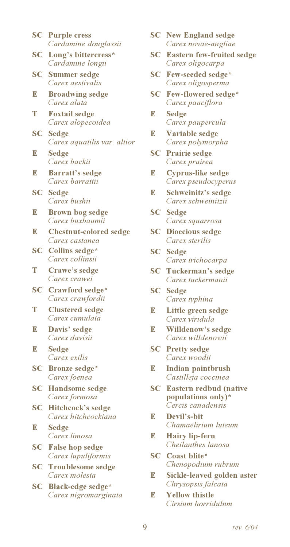|                                   | Cardamine douglassii                            |
|-----------------------------------|-------------------------------------------------|
| SC                                | Long's bittercress*<br>Cardamine longii         |
| $\overline{\mathbf{S}}\mathbf{C}$ | Summer sedge<br>Carex aestivalis                |
| E                                 | <b>Broadwing sedge</b><br>Carex alata           |
| т                                 | <b>Foxtail sedge</b><br>Carex alopecoidea       |
| SC                                | Sedge<br>Carex aquatilis var. altior            |
| E                                 | Sedge<br>Carex backii                           |
| E                                 | <b>Barratt's sedge</b><br>Carex barrattii       |
| SC                                | Sedge<br>Carex bushii                           |
| E                                 | Brown bog sedge<br>Carex buxbaumii              |
| E                                 | <b>Chestnut-colored sedge</b><br>Carex castanea |
| SC                                | Collins sedge*<br>Carex collinsii               |
| T                                 | Crawe's sedge<br>Carex crawei                   |
| SC                                | Crawford sedge*<br>Carex crawfordii             |
| T                                 | <b>Clustered sedge</b><br>Carex cumulata        |
| Е                                 | Davis' sedge<br>Carex davisii                   |
| E                                 | Sedge<br>Carex exilis                           |
| $\mathbf{SC}$                     | <b>Bronze</b> sedge*<br>Carex foenea            |
| SC                                | <b>Handsome sedge</b><br>Carex formosa          |
| SC                                | <b>Hitchcock's sedge</b><br>Carex hitchcockiana |
| E                                 | Sedge<br>Carex limosa                           |
| SC                                | <b>False hop sedge</b><br>Carex lupuliformis    |
| SC                                | Troublesome sedge                               |

**SC** Purple cress

Carex molesta

SC Black-edge sedge\* Carex nigromarginata

- **SC** New England sedge Carex novae-angliae
- **SC** Eastern few-fruited sedge Carex oligocarpa
- SC Few-seeded sedge\* Carex oligosperma
- **SC** Few-flowered sedge\* Carex pauciflora
- E **Sedge** Carex paupercula
- $\mathbb{R}$ Variable sedge Carex polymorpha
- **SC** Prairie sedge Carex prairea
- E **Cyprus-like sedge** Carex pseudocyperus
- E Schweinitz's sedge Carex schweinitzii
- **SC** Sedge Carex squarrosa
- **SC** Dioecious sedge Carex sterilis
- **SC** Sedge Carex trichocarpa
- **SC** Tuckerman's sedge Carex tuckermanii
- **SC** Sedge Carex typhina
- E Little green sedge Carex viridula
- E Willdenow's sedge Carex willdenowii
- **SC** Pretty sedge Carex woodii
- Indian paintbrush E. Castilleja coccinea
- **SC** Eastern redbud (native populations only)\* Cercis canadensis
- R. Devil's-bit Chamaelirium luteum
- **Hairy lip-fern** E Cheilanthes lanosa
- **SC** Coast blite\* Chenopodium rubrum
- E Sickle-leaved golden aster Chrysopsis falcata
- R. **Vellow thistle** Cirsium horridulum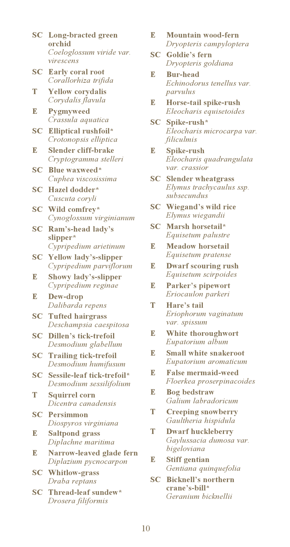- **SC** Long-bracted green orchid Coeloglossum viride var. virescens
- **SC** Early coral root Corallorhiza trifida
- T **Yellow** corvdalis Corydalis flavula
- E **Pygmyweed** Crassula aquatica
- **Elliptical rushfoil\***  $SC$ Crotonopsis elliptica
- $\mathbb{R}$ Slender cliff-brake Cryptogramma stelleri
- $SC$ Blue waxweed\* Cuphea viscosissima
- **SC** Hazel dodder\* Cuscuta coryli
- SC Wild comfrev\* Cynoglossum virginianum
- $SC$ Ram's-head lady's slipper\* Cypripedium arietinum
- **SC** Yellow lady's-slipper Cypripedium parviflorum
- R. **Showy lady's-slipper** Cypripedium reginae
- Dew-drop E Dalibarda repens
- **SC** Tufted hairgrass Deschampsia caespitosa
- **SC** Dillen's tick-trefoil Desmodium glabellum
- **SC** Trailing tick-trefoil Desmodium humifusum
- SC Sessile-leaf tick-trefoil\* Desmodium sessilifolium
- T **Squirrel corn** Dicentra canadensis
- **SC** Persimmon Diospyros virginiana
- $\mathbf{E}$ **Saltpond grass** Diplachne maritima
- E Narrow-leaved glade fern Diplazium pycnocarpon
- **SC** Whitlow-grass Draba reptans
- **SC** Thread-leaf sundew\* Drosera filiformis
- $\mathbb{R}$ Mountain wood-fern Dryopteris campyloptera
- **SC** Goldie's fern Dryopteris goldiana
- R. **Bur-head** Echinodorus tenellus var. parvulus
- R. Horse-tail spike-rush Eleocharis equisetoides
- SC Spike-rush\* Eleocharis microcarpa var. filiculmis
- R. Spike-rush Eleocharis quadrangulata var. crassior
- **SC** Slender wheatgrass Elymus trachycaulus ssp. subsecundus
- **SC** Wiegand's wild rice Elymus wiegandii
- **SC** Marsh horsetail\* Equisetum palustre
- **Meadow horsetail** R. Equisetum pratense
- **Dwarf scouring rush** E. Equisetum scirpoides
- Parker's pipewort E. Eriocaulon parkeri
- T Hare's tail Eriophorum vaginatum var. spissum
- White thoroughwort E Eupatorium album
- R. **Small white snakeroot** Eupatorium aromaticum
- **False mermaid-weed** E. Floerkea proserpinacoides
- R. **Bog bedstraw** Galium labradoricum
- T **Creeping snowberry** Gaultheria hispidula
- T **Dwarf huckleberry** Gaylussacia dumosa var. bigeloviana
- **Stiff gentian** E Gentiana quinquefolia
- **Bicknell's northern** SCcrane's-bill\* Geranium hicknellii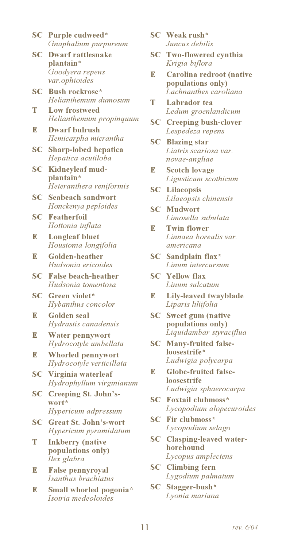- **SC** Purple cudweed\* Gnaphalium purpureum
- $SC$ **Dwarf rattlesnake** plantain\* Goodyera repens var.ophioides
- $SC$ Bush rockrose\* Helianthemum dumosum
- T Low frostweed Helianthemum propinguum
- R. **Dwarf bulrush** Hemicarpha micrantha
- **SC** Sharp-lobed hepatica Hepatica acutiloba
- $SC$ Kidneyleaf mudplantain\* Heteranthera reniformis
- **SC** Seabeach sandwort Honckenya peploides
- $SC$ **Featherfoil** Hottonia inflata
- E **Longleaf bluet** Houstonia longifolia
- $\mathbb{R}$ **Golden-heather** Hudsonia ericoides
- $SC$ **False beach-heather** Hudsonia tomentosa
- **SC** Green violet\* Hybanthus concolor
- $\mathbb{R}$ **Golden** seal Hydrastis canadensis
- R. **Water pennywort** Hydrocotyle umbellata
- R. **Whorled pennywort** Hydrocotyle verticillata
- **SC** Virginia waterleaf Hydrophyllum virginianum
- $SC$ **Creeping St. John's**wort<sup>\*</sup> Hypericum adpressum
- **Great St. John's-wort**  $SC$ Hypericum pyramidatum
- T **Inkberry** (native populations only) Ilex glabra
- R. **False pennyroyal** Isanthus brachiatus
- R. Small whorled pogonia<sup>^</sup> Isotria medeoloides
- **SC** Weak rush\* Juncus debilis
- **SC** Two-flowered cynthia Krigia biflora
- R. Carolina redroot (native populations only) Lachnanthes caroliana
- T Labrador tea Ledum groenlandicum
- **SC** Creeping bush-clover Lespedeza repens
- **SC** Blazing star Liatris scariosa var. novae-angliae
- R. **Scotch lovage** Ligusticum scothicum
- **SC** Lilaeopsis Lilaeopsis chinensis
- **SC** Mudwort Limosella subulata
- **Twin flower** R. Linnaea borealis var. americana
- **SC** Sandplain flax\* Linum intercursum
- **SC** Yellow flax Linum sulcatum
- Lily-leaved twayblade R. Liparis liliifolia
- **SC** Sweet gum (native populations only) Liquidambar styraciflua
- $SC$ Many-fruited falseloosestrife\* Ludwigia polycarpa
- R. Globe-fruited false**loosestrife** Ludwigia sphaerocarpa
- **SC** Foxtail clubmoss\* Lycopodium alopecuroides
- **SC** Fir clubmoss\* Lycopodium selago
- **SC** Clasping-leaved waterhorehound Lycopus amplectens
- **SC** Climbing fern Lygodium palmatum
- SC Stagger-bush\* Lvonia mariana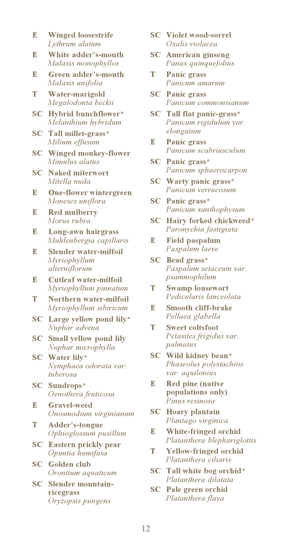- $\mathbb{R}$ **Winged loosestrife** Lythrum alatum
- R. White adder's-mouth Malaxis monophyllos
- Green adder's-mouth R. Malaxis unifolia
- T Water-marigold Megalodonta beckii
- $SC$ Hybrid bunchflower\* Melanthium hybridum
- **SC** Tall millet-grass\* Milium effusum
- **SC** Winged monkey-flower Mimulus alatus
- **SC** Naked miterwort Mitella nuda
- R. **One-flower wintergreen** Moneses uniflora
- $\mathbb{R}$ **Red mulberry** Morus rubra
- Long-awn hairgrass R. Muhlenbergia capillaris
- R. **Slender water-milfoil** Myriophyllum alterniflorum
- **Cutleaf water-milfoil** R. Myriophyllum pinnatum
- Northern water-milfoil т Myriophyllum sibiricum
- $SC$ Large yellow pond lily\* Nuphar advena
- **Small yellow pond lily**  $SC$ Nuphar microphylla
- **SC** Water lilv\* Nymphaea odorata var. tuberosa
- **SC** Sundrops\* Oenothera fruticosa
- $\mathbb{R}$ **Gravel-weed** Onosmodium virginianum
- T Adder's-tongue Ophioglossum pusillum
- **SC** Eastern prickly pear Opuntia humifusa
- **SC** Golden club Orontium aquaticum
- **SC** Slender mountainricegrass Oryzopsis pungens
- **SC** Violet wood-sorrel Oxalis violacea
- **SC** American ginseng Panax quinquefolius
- T. **Panic grass** Panicum amarum
- **SC** Panic grass Panicum commonsianum
- **SC** Tall flat panic-grass\* Panicum rigidulum var. elongatum
- E **Panic grass** Panicum scabriusculum
- **SC** Panic grass\* Panicum sphaerocarpon
- **SC** Warty panic grass\* Panicum verrucosum
- **SC** Panic grass\* Panicum xanthophysum
- SC Hairy forked chickweed\* Paronychia fastigiata
- E. **Field paspalum** Paspalum laeve
- $SC$ Bead grass\* Paspalum setaceum var. psammophilum
- T **Swamp lousewort** Pedicularis lanceolata
- R. **Smooth cliff-brake** Pellaea glabella
- T **Sweet coltsfoot** Petasites frigidus var. palmatus
- SC Wild kidney bean\* Phaseolus polystachios var. aquilonius
- R. **Red pine (native** populations only) Pinus resinosa
- **SC** Hoary plantain Plantago virginica
- White-fringed orchid E Platanthera blephariglottis
- T **Yellow-fringed orchid** Platanthera ciliaris
- SC Tall white bog orchid\* Platanthera dilatata
- **SC** Pale green orchid Platanthera flava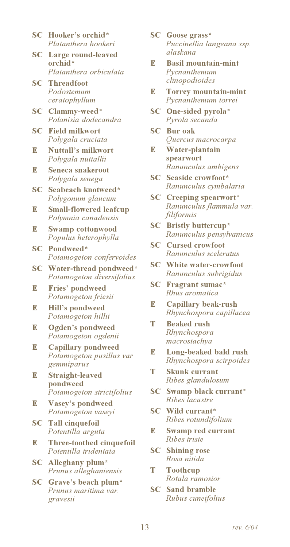- SC Hooker's orchid\* Platanthera hookeri
- $SC$ Large round-leaved orchid\* Platanthera orbiculata
- **SC** Threadfoot Podostemum ceratophyllum
- SC Clammy-weed\* Polanisia dodecandra
- **SC** Field milkwort Polvgala cruciata
- R. **Nuttall's milkwort** Polygala nuttallii
- R. Seneca snakeroot Polygala senega
- **SC** Seabeach knotweed\* Polygonum glaucum
- **Small-flowered leafcup** R. Polymnia canadensis
- R. **Swamp cottonwood** Populus heterophylla
- **SC** Pondweed\* Potamogeton confervoides
- SC Water-thread pondweed\* Potamogeton diversifolius
- Fries' pondweed R. Potamogeton friesii
- E **Hill's pondweed** Potamogeton hillii
- $\mathbb{R}$ **Ogden's pondweed** Potamogeton ogdenii
- R. **Capillary pondweed** Potamogeton pusillus var gemmiparus
- R, **Straight-leaved** pondweed Potamogeton strictifolius
- Vasey's pondweed R. Potamogeton vasevi
- **SC** Tall cinquefoil Potentilla arguta
- Three-toothed cinquefoil R. Potentilla tridentata
- $SC$ Alleghany plum\* Prunus alleghaniensis
- SC Grave's beach plum\* Prunus maritima var. gravesii
- **SC** Goose grass\* Puccinellia langeana ssp. alaskana
- R. **Basil mountain-mint** Pycnanthemum clinopodioides
- **Torrey mountain-mint** E. Pycnanthemum torrei
- SC One-sided pyrola\* Pyrola secunda
- **SC** Bur oak Quercus macrocarpa
- E Water-plantain spearwort Ranunculus ambigens
- **SC** Seaside crowfoot\* Ranunculus cymbalaria
- **SC** Creeping spearwort\* Ranunculus flammula var. filiformis
- **SC** Bristly buttercup\* Ranunculus pensylvanicus
- **SC** Cursed crowfoot Ranunculus sceleratus
- **SC** White water-crowfoot Ranunculus subrigidus
- **SC** Fragrant sumac\* Rhus aromatica
- **Capillary beak-rush** E. Rhynchospora capillacea
- T **Beaked rush** Rhynchospora macrostachya
- E Long-beaked bald rush Rhynchospora scirpoides
- T **Skunk currant** Ribes glandulosum
- **SC** Swamp black currant\* Ribes lacustre
- **SC** Wild currant\* Ribes rotundifolium
- E. Swamp red currant Ribes triste
- $SC$ **Shining rose** Rosa nitida
- T **Toothcup** Rotala ramosior
- **SC** Sand bramble Rubus cuneifolius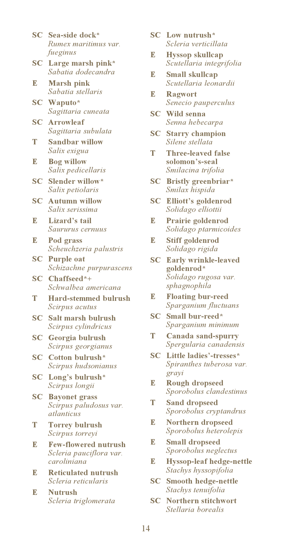- SC Sea-side dock\* Rumex maritimus var. fueginus
- SC Large marsh pink\* Sabatia dodecandra
- R. **Marsh pink** Sabatia stellaris
- SC Waputo\* Sagittaria cuneata
- **SC** Arrowleaf Sagittaria subulata
- **Sandbar willow** T Salix exigua
- **Bog willow** R. Salix pedicellaris
- **SC** Slender willow\* Salix petiolaris
- **SC** Autumn willow Salix serissima
- R. Lizard's tail Saururus cernuus
- $\mathbb{R}$ Pod grass Scheuchzeria palustris
- $SC$ **Purple oat** Schizachne purpurascens
- SC Chaffseed\*+ Schwalbea americana
- **Hard-stemmed bulrush** T Scirpus acutus
- $SC$ Salt marsh bulrush Scirpus cylindricus
- **SC** Georgia bulrush Scirpus georgianus
- **SC** Cotton bulrush\* Scirpus hudsonianus
- $SC$ Long's bulrush\* Scirpus longii
- $SC$ **Bayonet grass** Scirpus paludosus var. atlanticus
- T **Torrey bulrush** Scirpus torreyi
- E **Few-flowered nutrush** Scleria pauciflora var. caroliniana
- **Reticulated nutrush** R. Scleria reticularis
- R. **Nutrush** Scleria triglomerata
- **SC** Low nutrush\* Scleria verticillata
- R. **Hyssop** skullcap Scutellaria integrifolia
- R. **Small skullcap** Scutellaria leonardii
- $\mathbb{R}$ **Ragwort** Senecio pauperculus
- **SC** Wild senna Senna hebecarpa
- **SC** Starry champion Silene stellata
- T Three-leaved false solomon's-seal Smilacina trifolia
- **SC** Bristly greenbriar\* Smilax hispida
- **SC** Elliott's goldenrod Solidago elliottii
- Prairie goldenrod E. Solidago ptarmicoides
- R. **Stiff goldenrod** Solidago rigida
- **SC** Early wrinkle-leaved goldenrod\* Solidago rugosa var. sphagnophila
- E. **Floating bur-reed** Sparganium fluctuans
- $SC$ Small bur-reed\* Sparganium minimum
- Canada sand-spurry T. Spergularia canadensis
- **SC** Little ladies'-tresses\* Spiranthes tuberosa var. grayi
- R. **Rough dropseed** Sporobolus clandestinus
- T **Sand dropseed** Sporobolus cryptandrus
- R. **Northern dropseed** Sporobolus heterolepis
- E **Small dropseed** Sporobolus neglectus
- R. **Hyssop-leaf hedge-nettle** Stachys hyssopifolia
- $SC$ Smooth hedge-nettle Stachys tenuifolia
- **SC** Northern stitchwort Stellaria borealis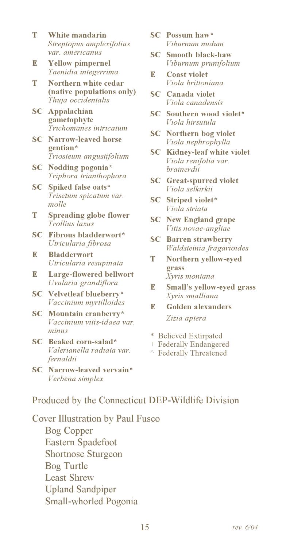- T White mandarin Streptopus amplexifolius var. americanus
- **Yellow pimpernel** R. Taenidia integerrima
- T Northern white cedar (native populations only) Thuja occidentalis
- **SC** Appalachian gametophyte Trichomanes intricatum
- **SC** Narrow-leaved horse gentian\* Triosteum angustifolium
- **SC** Nodding pogonia\* Triphora trianthophora
- $SC$ Spiked false oats\* Trisetum spicatum var. molle
- T **Spreading globe flower** Trollius laxus
- **SC** Fibrous bladderwort\* Utricularia fibrosa
- R. **Bladderwort** Utricularia resupinata
- **Large-flowered bellwort** E. Uvularia grandiflora
- SC Velvetleaf blueberry\* Vaccinium myrtilloides
- $SC$ Mountain cranberry\* Vaccinium vitis-idaea var. minus
- SC Beaked corn-salad\* Valerianella radiata var. fernaldii
- **SC** Narrow-leaved vervain\* Verbena simplex
- **SC** Possum haw\* Viburnum nudum
- **SC** Smooth black-haw Viburnum prunifolium
- R. **Coast violet** Viola brittoniana
- **SC** Canada violet Viola canadensis
- SC Southern wood violet\* Viola hirsutula
- **SC** Northern bog violet Viola nephrophylla
- $SC$ Kidney-leaf white violet Viola renifolia var. brainerdii
- **SC** Great-spurred violet Viola selkirkii
- **SC** Striped violet\* Viola striata
- **SC** New England grape Vitis novae-angliae
- $SC$ **Barren strawberry** Waldsteinia fragarioides
- <sup>T</sup> Northern yellow-eyed grass Xyris montana
- R. Small's vellow-eved grass Xyris smalliana
- R. Golden alexanders Zizia aptera
- \* Believed Extirpated
- + Federally Endangered
- ↑ Federally Threatened

### Produced by the Connecticut DEP-Wildlife Division

Cover Illustration by Paul Fusco **Bog Copper** 

**Eastern Spadefoot Shortnose Sturgeon** Bog Turtle **Least Shrew Upland Sandpiper** Small-whorled Pogonia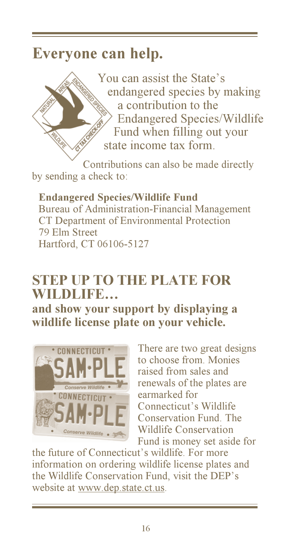## Everyone can help.

You can assist the State's endangered species by making a contribution to the **Endangered Species/Wildlife** Fund when filling out your state income tax form.

Contributions can also be made directly by sending a check to:

**Endangered Species/Wildlife Fund** Bureau of Administration-Financial Management CT Department of Environmental Protection 79 Elm Street Hartford, CT 06106-5127

### **STEP UP TO THE PLATE FOR** WILDLIFE...

and show your support by displaying a wildlife license plate on your vehicle.



There are two great designs to choose from Monies raised from sales and renewals of the plates are earmarked for Connecticut's Wildlife Conservation Fund The **Wildlife Conservation** Fund is money set aside for

the future of Connecticut's wildlife. For more information on ordering wildlife license plates and the Wildlife Conservation Fund, visit the DEP's website at www.dep.state.ct.us.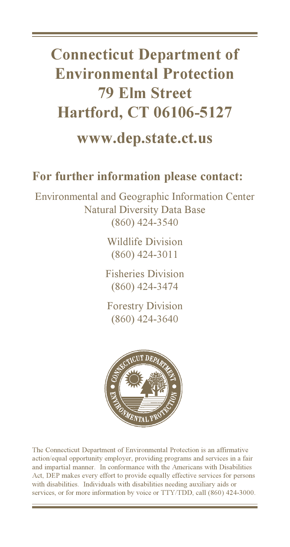# **Connecticut Department of Environmental Protection 79 Elm Street Hartford, CT 06106-5127**

### www.dep.state.ct.us

### For further information please contact:

Environmental and Geographic Information Center **Natural Diversity Data Base**  $(860)$  424-3540

> **Wildlife Division**  $(860)$  424-3011

**Fisheries Division**  $(860)$  424-3474

**Forestry Division**  $(860)$  424-3640



The Connecticut Department of Environmental Protection is an affirmative action/equal opportunity employer, providing programs and services in a fair and impartial manner. In conformance with the Americans with Disabilities Act, DEP makes every effort to provide equally effective services for persons with disabilities. Individuals with disabilities needing auxiliary aids or services, or for more information by voice or TTY/TDD, call (860) 424-3000.